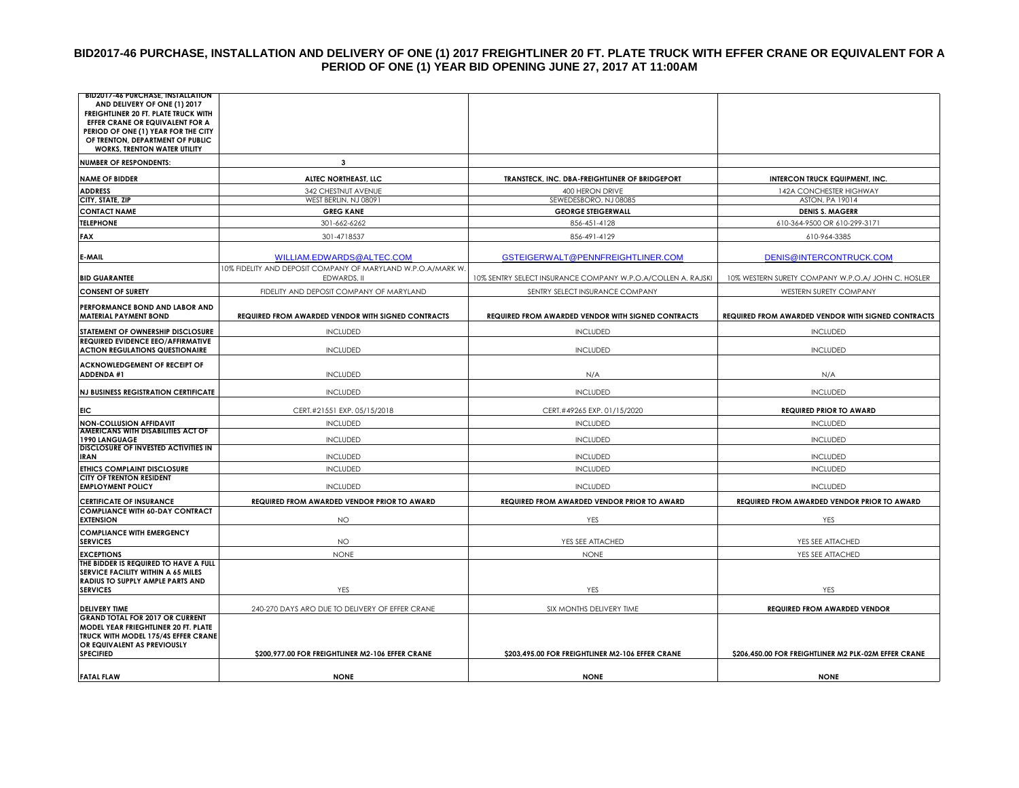## **BID2017-46 PURCHASE, INSTALLATION AND DELIVERY OF ONE (1) 2017 FREIGHTLINER 20 FT. PLATE TRUCK WITH EFFER CRANE OR EQUIVALENT FOR A PERIOD OF ONE (1) YEAR BID OPENING JUNE 27, 2017 AT 11:00AM**

| <b>BID2017-46 PURCHASE, INSTALLATION</b>                                           |                                                              |                                                              |                                                      |
|------------------------------------------------------------------------------------|--------------------------------------------------------------|--------------------------------------------------------------|------------------------------------------------------|
| AND DELIVERY OF ONE (1) 2017<br>FREIGHTLINER 20 FT. PLATE TRUCK WITH               |                                                              |                                                              |                                                      |
| EFFER CRANE OR EQUIVALENT FOR A                                                    |                                                              |                                                              |                                                      |
| PERIOD OF ONE (1) YEAR FOR THE CITY                                                |                                                              |                                                              |                                                      |
| OF TRENTON, DEPARTMENT OF PUBLIC<br><b>WORKS, TRENTON WATER UTILITY</b>            |                                                              |                                                              |                                                      |
| <b>NUMBER OF RESPONDENTS:</b>                                                      | 3                                                            |                                                              |                                                      |
| <b>NAME OF BIDDER</b>                                                              | ALTEC NORTHEAST, LLC                                         | TRANSTECK, INC. DBA-FREIGHTLINER OF BRIDGEPORT               | <b>INTERCON TRUCK EQUIPMENT, INC.</b>                |
| <b>ADDRESS</b>                                                                     | 342 CHESTNUT AVENUE                                          | 400 HERON DRIVE                                              | 142A CONCHESTER HIGHWAY                              |
| CITY, STATE, ZIP                                                                   | WEST BERLIN, NJ 08091                                        | SEWEDESBORO, NJ 08085                                        | <b>ASTON, PA 19014</b>                               |
| <b>CONTACT NAME</b>                                                                | <b>GREG KANE</b>                                             | <b>GEORGE STEIGERWALL</b>                                    | <b>DENIS S. MAGERR</b>                               |
| <b>TELEPHONE</b>                                                                   | 301-662-6262                                                 | 856-451-4128                                                 | 610-364-9500 OR 610-299-3171                         |
| <b>FAX</b>                                                                         | 301-4718537                                                  | 856-491-4129                                                 | 610-964-3385                                         |
| E-MAIL                                                                             | WILLIAM.EDWARDS@ALTEC.COM                                    | GSTEIGERWALT@PENNFREIGHTLINER.COM                            | DENIS@INTERCONTRUCK.COM                              |
|                                                                                    | 10% FIDELITY AND DEPOSIT COMPANY OF MARYLAND W.P.O.A/MARK W. |                                                              |                                                      |
| <b>BID GUARANTEE</b>                                                               | EDWARDS, II                                                  | 10% SENTRY SELECT INSURANCE COMPANY W.P.O.A/COLLEN A. RAJSKI | 10% WESTERN SURETY COMPANY W.P.O.A/ JOHN C. HOSLER   |
| <b>CONSENT OF SURETY</b>                                                           | FIDELITY AND DEPOSIT COMPANY OF MARYLAND                     | SENTRY SELECT INSURANCE COMPANY                              | WESTERN SURETY COMPANY                               |
| PERFORMANCE BOND AND LABOR AND<br><b>MATERIAL PAYMENT BOND</b>                     | REQUIRED FROM AWARDED VENDOR WITH SIGNED CONTRACTS           | REQUIRED FROM AWARDED VENDOR WITH SIGNED CONTRACTS           | REQUIRED FROM AWARDED VENDOR WITH SIGNED CONTRACTS   |
| STATEMENT OF OWNERSHIP DISCLOSURE                                                  | <b>INCLUDED</b>                                              | <b>INCLUDED</b>                                              | <b>INCLUDED</b>                                      |
| <b>REQUIRED EVIDENCE EEO/AFFIRMATIVE</b><br><b>ACTION REGULATIONS QUESTIONAIRE</b> | <b>INCLUDED</b>                                              | <b>INCLUDED</b>                                              | <b>INCLUDED</b>                                      |
| <b>ACKNOWLEDGEMENT OF RECEIPT OF</b>                                               |                                                              |                                                              |                                                      |
| <b>ADDENDA #1</b>                                                                  | <b>INCLUDED</b>                                              | N/A                                                          | N/A                                                  |
| <b>NJ BUSINESS REGISTRATION CERTIFICATE</b>                                        | <b>INCLUDED</b>                                              | <b>INCLUDED</b>                                              | <b>INCLUDED</b>                                      |
| <b>EIC</b>                                                                         | CERT.#21551 EXP. 05/15/2018                                  | CERT.#49265 EXP. 01/15/2020                                  | <b>REQUIRED PRIOR TO AWARD</b>                       |
| <b>NON-COLLUSION AFFIDAVIT</b><br><b>AMERICANS WITH DISABILITIES ACT OF</b>        | <b>INCLUDED</b>                                              | <b>INCLUDED</b>                                              | <b>INCLUDED</b>                                      |
| <b>1990 LANGUAGE</b>                                                               | <b>INCLUDED</b>                                              | <b>INCLUDED</b>                                              | <b>INCLUDED</b>                                      |
| <b>DISCLOSURE OF INVESTED ACTIVITIES IN</b><br><b>IRAN</b>                         | <b>INCLUDED</b>                                              | <b>INCLUDED</b>                                              | <b>INCLUDED</b>                                      |
| <b>ETHICS COMPLAINT DISCLOSURE</b>                                                 | <b>INCLUDED</b>                                              | <b>INCLUDED</b>                                              | <b>INCLUDED</b>                                      |
| <b>CITY OF TRENTON RESIDENT</b><br><b>EMPLOYMENT POLICY</b>                        | <b>INCLUDED</b>                                              | <b>INCLUDED</b>                                              | <b>INCLUDED</b>                                      |
|                                                                                    |                                                              |                                                              |                                                      |
| <b>CERTIFICATE OF INSURANCE</b><br><b>COMPLIANCE WITH 60-DAY CONTRACT</b>          | REQUIRED FROM AWARDED VENDOR PRIOR TO AWARD                  | REQUIRED FROM AWARDED VENDOR PRIOR TO AWARD                  | REQUIRED FROM AWARDED VENDOR PRIOR TO AWARD          |
| <b>EXTENSION</b>                                                                   | <b>NO</b>                                                    | YES                                                          | YES                                                  |
| <b>COMPLIANCE WITH EMERGENCY</b><br><b>SERVICES</b>                                | <b>NO</b>                                                    | YES SEE ATTACHED                                             | YES SEE ATTACHED                                     |
| <b>EXCEPTIONS</b>                                                                  | <b>NONE</b>                                                  | <b>NONE</b>                                                  | YES SEE ATTACHED                                     |
| THE BIDDER IS REQUIRED TO HAVE A FULL<br><b>SERVICE FACILITY WITHIN A 65 MILES</b> |                                                              |                                                              |                                                      |
| RADIUS TO SUPPLY AMPLE PARTS AND<br><b>SERVICES</b>                                | YES                                                          | YES                                                          | YES                                                  |
| <b>DELIVERY TIME</b>                                                               | 240-270 DAYS ARO DUE TO DELIVERY OF EFFER CRANE              | SIX MONTHS DELIVERY TIME                                     | <b>REQUIRED FROM AWARDED VENDOR</b>                  |
| <b>GRAND TOTAL FOR 2017 OR CURRENT</b>                                             |                                                              |                                                              |                                                      |
| <b>MODEL YEAR FRIEGHTLINER 20 FT. PLATE</b><br>TRUCK WITH MODEL 175/4S EFFER CRANE |                                                              |                                                              |                                                      |
| OR EQUIVALENT AS PREVIOUSLY<br><b>SPECIFIED</b>                                    | \$200,977.00 FOR FREIGHTLINER M2-106 EFFER CRANE             | \$203,495.00 FOR FREIGHTLINER M2-106 EFFER CRANE             | \$206,450.00 FOR FREIGHTLINER M2 PLK-02M EFFER CRANE |
|                                                                                    |                                                              |                                                              |                                                      |
| <b>FATAL FLAW</b>                                                                  | <b>NONE</b>                                                  | <b>NONE</b>                                                  | <b>NONE</b>                                          |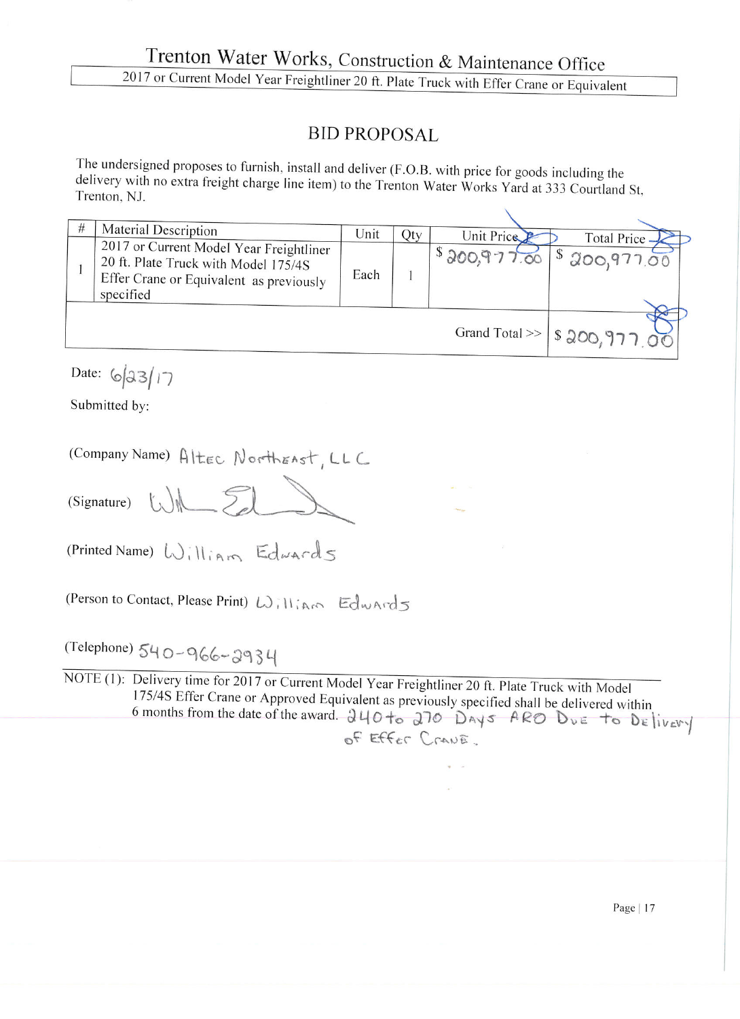## **BID PROPOSAL**

The undersigned proposes to furnish, install and deliver (F.O.B. with price for goods including the delivery with no extra freight charge line item) to the Trenton Water Works Yard at 333 Courtland St, Trenton, NJ.

| # | Material Description                                                                                                                    | Unit                             | Qty | Unit Price   | Total Price.       |
|---|-----------------------------------------------------------------------------------------------------------------------------------------|----------------------------------|-----|--------------|--------------------|
|   | 2017 or Current Model Year Freightliner<br>20 ft. Plate Truck with Model 175/4S<br>Effer Crane or Equivalent as previously<br>specified | Each                             |     | \$300,977.00 | $1^{\$}200,977.00$ |
|   |                                                                                                                                         | Grand Total >>   \$ 200, 977, 00 |     |              |                    |

Date:  $6|33|17$ 

Submitted by:

| (Company Name) Altec NorthEAst, LLC |  |  |  |  |  |  |  |
|-------------------------------------|--|--|--|--|--|--|--|
|-------------------------------------|--|--|--|--|--|--|--|

WIL El (Signature)

(Printed Name) William Edwards

(Person to Contact, Please Print) William Edwards

(Telephone) 540-966-2934

NOTE (1): Delivery time for 2017 or Current Model Year Freightliner 20 ft. Plate Truck with Model 175/4S Effer Crane or Approved Equivalent as previously specified shall be delivered within 6 months from the date of the award. 240 to 270 DAYS ARO DUE to DElivery OF Effer Crane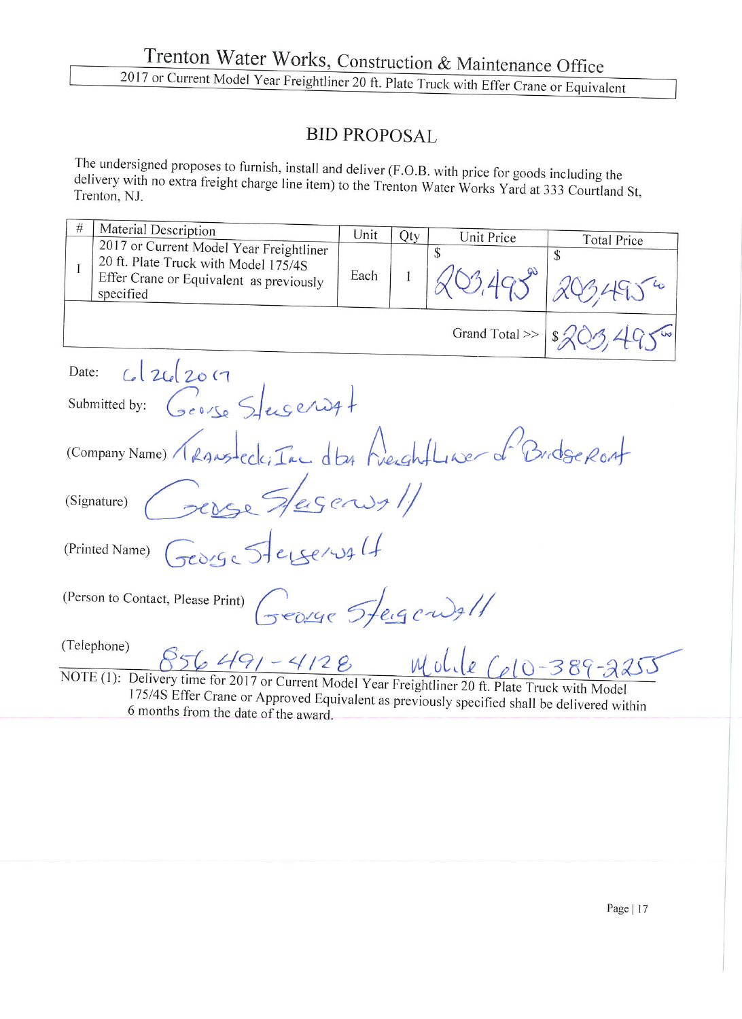## **BID PROPOSAL**

The undersigned proposes to furnish, install and deliver (F.O.B. with price for goods including the delivery with no extra freight charge line item) to the Trenton Water Works Yard at 333 Courtland St, Trenton, NJ.

| $\#$                                                                                              | Material Description                                         | Unit |              |                  |                    |  |  |  |  |
|---------------------------------------------------------------------------------------------------|--------------------------------------------------------------|------|--------------|------------------|--------------------|--|--|--|--|
|                                                                                                   | 2017 or Current Model Year Freightliner                      |      | Qty          | Unit Price<br>\$ | <b>Total Price</b> |  |  |  |  |
|                                                                                                   | 20 ft. Plate Truck with Model 175/4S                         |      |              |                  | $\mathcal{S}$      |  |  |  |  |
| 1                                                                                                 | Effer Crane or Equivalent as previously                      | Each | $\mathbf{1}$ |                  |                    |  |  |  |  |
|                                                                                                   | specified                                                    |      |              |                  |                    |  |  |  |  |
|                                                                                                   |                                                              |      |              |                  |                    |  |  |  |  |
|                                                                                                   |                                                              |      |              | Grand Total >>   | $\frac{2}{x}$      |  |  |  |  |
|                                                                                                   |                                                              |      |              |                  |                    |  |  |  |  |
|                                                                                                   | C2c2017<br>Date:                                             |      |              |                  |                    |  |  |  |  |
|                                                                                                   | Submitted by: George Stugerout                               |      |              |                  |                    |  |  |  |  |
|                                                                                                   | (Company Name) Transfect: Ine dta Preightlase of Bridge Ront |      |              |                  |                    |  |  |  |  |
|                                                                                                   |                                                              |      |              |                  |                    |  |  |  |  |
|                                                                                                   |                                                              |      |              |                  |                    |  |  |  |  |
|                                                                                                   | (Signature) Perse S/esens/                                   |      |              |                  |                    |  |  |  |  |
|                                                                                                   |                                                              |      |              |                  |                    |  |  |  |  |
|                                                                                                   |                                                              |      |              |                  |                    |  |  |  |  |
| (Printed Name) George Stelservalt                                                                 |                                                              |      |              |                  |                    |  |  |  |  |
|                                                                                                   |                                                              |      |              |                  |                    |  |  |  |  |
|                                                                                                   |                                                              |      |              |                  |                    |  |  |  |  |
| (Person to Contact, Please Print) (500190 Trengerwall                                             |                                                              |      |              |                  |                    |  |  |  |  |
|                                                                                                   |                                                              |      |              |                  |                    |  |  |  |  |
| (Telephone)                                                                                       |                                                              |      |              |                  |                    |  |  |  |  |
| 856 491-4128 Molle Cel0-389-2255                                                                  |                                                              |      |              |                  |                    |  |  |  |  |
| NOTE (1): Delivery time for 2017 or Current Model Year Freightliner 20 ft. Plate Truck with Model |                                                              |      |              |                  |                    |  |  |  |  |
| 175/4S Effer Crane or Approved Equivalent as previously specified shall be delivered within       |                                                              |      |              |                  |                    |  |  |  |  |
| 6 months from the date of the award.                                                              |                                                              |      |              |                  |                    |  |  |  |  |
|                                                                                                   |                                                              |      |              |                  |                    |  |  |  |  |